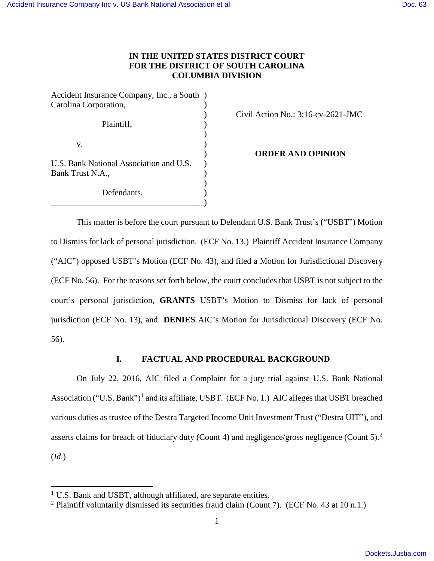# **IN THE UNITED STATES DISTRICT COURT FOR THE DISTRICT OF SOUTH CAROLINA COLUMBIA DIVISION**

Accident Insurance Company, Inc., a South ) Carolina Corporation, Plaintiff,  $\qquad \qquad$ )  $)$ v. (1) U.S. Bank National Association and U.S.  $)$ Bank Trust N.A., )  $)$ 

Defendants. \_\_\_\_\_\_\_\_\_\_\_\_\_\_\_\_\_\_\_\_\_\_\_\_\_\_\_\_\_\_\_\_\_\_\_\_)

) Civil Action No.: 3:16-cv-2621-JMC

) **ORDER AND OPINION**

This matter is before the court pursuant to Defendant U.S. Bank Trust's ("USBT") Motion to Dismiss for lack of personal jurisdiction. (ECF No. 13.) Plaintiff Accident Insurance Company ("AIC") opposed USBT's Motion (ECF No. 43), and filed a Motion for Jurisdictional Discovery (ECF No. 56). For the reasons set forth below, the court concludes that USBT is not subject to the court's personal jurisdiction, **GRANTS** USBT's Motion to Dismiss for lack of personal jurisdiction (ECF No. 13), and **DENIES** AIC's Motion for Jurisdictional Discovery (ECF No. 56).

## **I. FACTUAL AND PROCEDURAL BACKGROUND**

On July 22, 2016, AIC filed a Complaint for a jury trial against U.S. Bank National Association ("U.S. Bank")<sup>[1](#page-0-0)</sup> and its affiliate, USBT. (ECF No. 1.) AIC alleges that USBT breached various duties as trustee of the Destra Targeted Income Unit Investment Trust ("Destra UIT"), and asserts claims for breach of fiduciary duty (Count 4) and negligence/gross negligence (Count 5).<sup>[2](#page-0-1)</sup> (*Id*.)

 $\overline{a}$ 

<sup>&</sup>lt;sup>1</sup> U.S. Bank and USBT, although affiliated, are separate entities.

<span id="page-0-1"></span><span id="page-0-0"></span><sup>&</sup>lt;sup>2</sup> Plaintiff voluntarily dismissed its securities fraud claim (Count 7). (ECF No. 43 at 10 n.1.)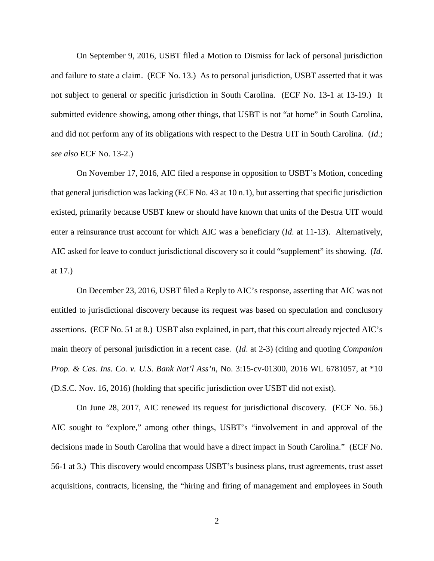On September 9, 2016, USBT filed a Motion to Dismiss for lack of personal jurisdiction and failure to state a claim. (ECF No. 13.) As to personal jurisdiction, USBT asserted that it was not subject to general or specific jurisdiction in South Carolina. (ECF No. 13-1 at 13-19.) It submitted evidence showing, among other things, that USBT is not "at home" in South Carolina, and did not perform any of its obligations with respect to the Destra UIT in South Carolina. (*Id*.; *see also* ECF No. 13-2.)

On November 17, 2016, AIC filed a response in opposition to USBT's Motion, conceding that general jurisdiction was lacking (ECF No. 43 at 10 n.1), but asserting that specific jurisdiction existed, primarily because USBT knew or should have known that units of the Destra UIT would enter a reinsurance trust account for which AIC was a beneficiary (*Id*. at 11-13). Alternatively, AIC asked for leave to conduct jurisdictional discovery so it could "supplement" its showing. (*Id*. at 17.)

On December 23, 2016, USBT filed a Reply to AIC's response, asserting that AIC was not entitled to jurisdictional discovery because its request was based on speculation and conclusory assertions. (ECF No. 51 at 8.) USBT also explained, in part, that this court already rejected AIC's main theory of personal jurisdiction in a recent case. (*Id*. at 2-3) (citing and quoting *Companion Prop. & Cas. Ins. Co. v. U.S. Bank Nat'l Ass'n*, No. 3:15-cv-01300, 2016 WL 6781057, at \*10 (D.S.C. Nov. 16, 2016) (holding that specific jurisdiction over USBT did not exist).

On June 28, 2017, AIC renewed its request for jurisdictional discovery. (ECF No. 56.) AIC sought to "explore," among other things, USBT's "involvement in and approval of the decisions made in South Carolina that would have a direct impact in South Carolina." (ECF No. 56-1 at 3.) This discovery would encompass USBT's business plans, trust agreements, trust asset acquisitions, contracts, licensing, the "hiring and firing of management and employees in South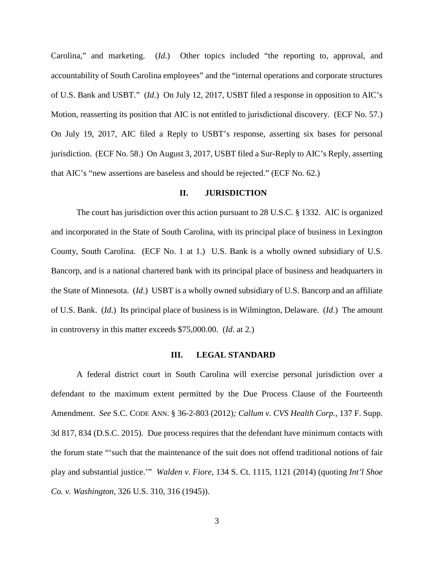Carolina," and marketing. (*Id*.) Other topics included "the reporting to, approval, and accountability of South Carolina employees" and the "internal operations and corporate structures of U.S. Bank and USBT." (*Id*.) On July 12, 2017, USBT filed a response in opposition to AIC's Motion, reasserting its position that AIC is not entitled to jurisdictional discovery. (ECF No. 57.) On July 19, 2017, AIC filed a Reply to USBT's response, asserting six bases for personal jurisdiction. (ECF No. 58.) On August 3, 2017, USBT filed a Sur-Reply to AIC's Reply, asserting that AIC's "new assertions are baseless and should be rejected." (ECF No. 62.)

### **II. JURISDICTION**

The court has jurisdiction over this action pursuant to 28 U.S.C. § 1332. AIC is organized and incorporated in the State of South Carolina, with its principal place of business in Lexington County, South Carolina. (ECF No. 1 at 1.) U.S. Bank is a wholly owned subsidiary of U.S. Bancorp, and is a national chartered bank with its principal place of business and headquarters in the State of Minnesota. (*Id*.) USBT is a wholly owned subsidiary of U.S. Bancorp and an affiliate of U.S. Bank. (*Id*.) Its principal place of business is in Wilmington, Delaware. (*Id*.) The amount in controversy in this matter exceeds \$75,000.00. (*Id*. at 2.)

#### **III. LEGAL STANDARD**

A federal district court in South Carolina will exercise personal jurisdiction over a defendant to the maximum extent permitted by the Due Process Clause of the Fourteenth Amendment. *See* S.C. CODE ANN. § 36-2-803 (2012)*; Callum v. CVS Health Corp.*, 137 F. Supp. 3d 817, 834 (D.S.C. 2015). Due process requires that the defendant have minimum contacts with the forum state "'such that the maintenance of the suit does not offend traditional notions of fair play and substantial justice.'" *Walden v. Fiore*, 134 S. Ct. 1115, 1121 (2014) (quoting *Int'l Shoe Co. v. Washington*, 326 U.S. 310, 316 (1945)).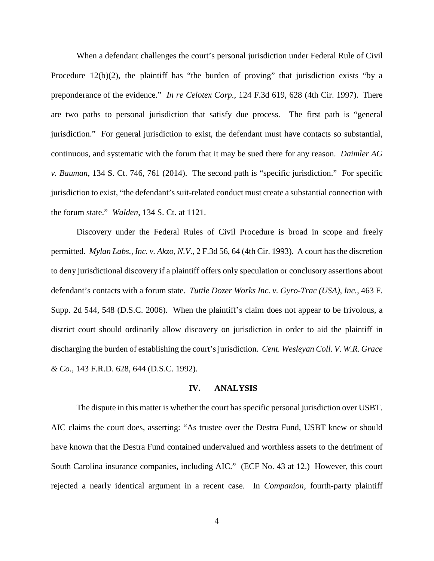When a defendant challenges the court's personal jurisdiction under Federal Rule of Civil Procedure 12(b)(2), the plaintiff has "the burden of proving" that jurisdiction exists "by a preponderance of the evidence." *In re Celotex Corp.*, 124 F.3d 619, 628 (4th Cir. 1997). There are two paths to personal jurisdiction that satisfy due process. The first path is "general jurisdiction." For general jurisdiction to exist, the defendant must have contacts so substantial, continuous, and systematic with the forum that it may be sued there for any reason. *Daimler AG v. Bauman*, 134 S. Ct. 746, 761 (2014). The second path is "specific jurisdiction." For specific jurisdiction to exist, "the defendant's suit-related conduct must create a substantial connection with the forum state." *Walden*, 134 S. Ct. at 1121.

Discovery under the Federal Rules of Civil Procedure is broad in scope and freely permitted. *Mylan Labs., Inc. v. Akzo, N.V.*, 2 F.3d 56, 64 (4th Cir. 1993). A court has the discretion to deny jurisdictional discovery if a plaintiff offers only speculation or conclusory assertions about defendant's contacts with a forum state. *Tuttle Dozer Works Inc. v. Gyro-Trac (USA), Inc.*, 463 F. Supp. 2d 544, 548 (D.S.C. 2006). When the plaintiff's claim does not appear to be frivolous, a district court should ordinarily allow discovery on jurisdiction in order to aid the plaintiff in discharging the burden of establishing the court's jurisdiction. *Cent. Wesleyan Coll. V. W.R. Grace & Co.*, 143 F.R.D. 628, 644 (D.S.C. 1992).

#### **IV. ANALYSIS**

The dispute in this matter is whether the court has specific personal jurisdiction over USBT. AIC claims the court does, asserting: "As trustee over the Destra Fund, USBT knew or should have known that the Destra Fund contained undervalued and worthless assets to the detriment of South Carolina insurance companies, including AIC." (ECF No. 43 at 12.) However, this court rejected a nearly identical argument in a recent case. In *Companion*, fourth-party plaintiff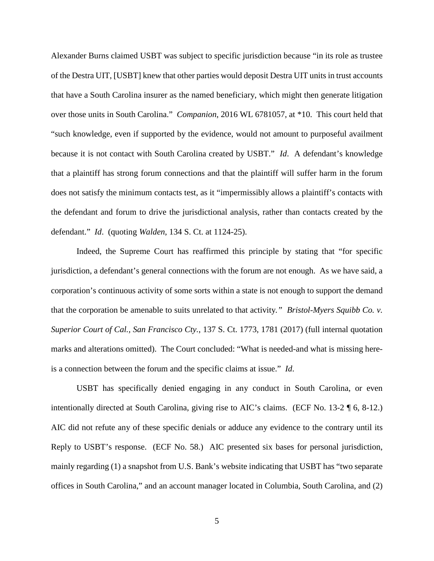Alexander Burns claimed USBT was subject to specific jurisdiction because "in its role as trustee of the Destra UIT, [USBT] knew that other parties would deposit Destra UIT units in trust accounts that have a South Carolina insurer as the named beneficiary, which might then generate litigation over those units in South Carolina." *Companion*, 2016 WL 6781057, at \*10. This court held that "such knowledge, even if supported by the evidence, would not amount to purposeful availment because it is not contact with South Carolina created by USBT." *Id*. A defendant's knowledge that a plaintiff has strong forum connections and that the plaintiff will suffer harm in the forum does not satisfy the minimum contacts test, as it "impermissibly allows a plaintiff's contacts with the defendant and forum to drive the jurisdictional analysis, rather than contacts created by the defendant." *Id*. (quoting *Walden*, 134 S. Ct. at 1124-25).

Indeed, the Supreme Court has reaffirmed this principle by stating that "for specific jurisdiction, a defendant's general connections with the forum are not enough. As we have said, a corporation's continuous activity of some sorts within a state is not enough to support the demand that the corporation be amenable to suits unrelated to that activity*." Bristol-Myers Squibb Co. v. Superior Court of Cal., San Francisco Cty.*, 137 S. Ct. 1773, 1781 (2017) (full internal quotation marks and alterations omitted). The Court concluded: "What is needed-and what is missing hereis a connection between the forum and the specific claims at issue." *Id*.

USBT has specifically denied engaging in any conduct in South Carolina, or even intentionally directed at South Carolina, giving rise to AIC's claims. (ECF No. 13-2 ¶ 6, 8-12.) AIC did not refute any of these specific denials or adduce any evidence to the contrary until its Reply to USBT's response. (ECF No. 58.) AIC presented six bases for personal jurisdiction, mainly regarding (1) a snapshot from U.S. Bank's website indicating that USBT has "two separate offices in South Carolina," and an account manager located in Columbia, South Carolina, and (2)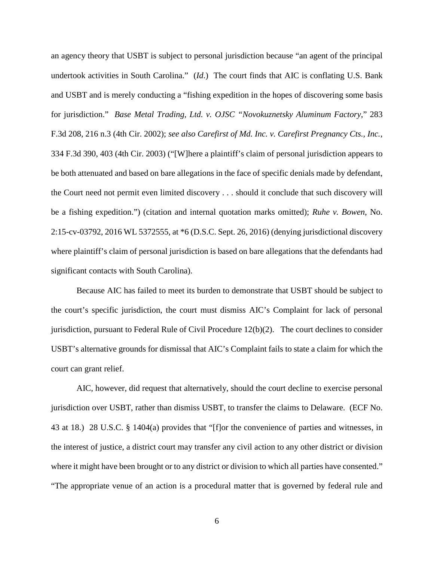an agency theory that USBT is subject to personal jurisdiction because "an agent of the principal undertook activities in South Carolina." (*Id*.) The court finds that AIC is conflating U.S. Bank and USBT and is merely conducting a "fishing expedition in the hopes of discovering some basis for jurisdiction." *Base Metal Trading, Ltd. v. OJSC "Novokuznetsky Aluminum Factory*," 283 F.3d 208, 216 n.3 (4th Cir. 2002); *see also Carefirst of Md. Inc. v. Carefirst Pregnancy Cts., Inc.*, 334 F.3d 390, 403 (4th Cir. 2003) ("[W]here a plaintiff's claim of personal jurisdiction appears to be both attenuated and based on bare allegations in the face of specific denials made by defendant, the Court need not permit even limited discovery . . . should it conclude that such discovery will be a fishing expedition.") (citation and internal quotation marks omitted); *Ruhe v. Bowen*, No. 2:15-cv-03792, 2016 WL 5372555, at \*6 (D.S.C. Sept. 26, 2016) (denying jurisdictional discovery where plaintiff's claim of personal jurisdiction is based on bare allegations that the defendants had significant contacts with South Carolina).

Because AIC has failed to meet its burden to demonstrate that USBT should be subject to the court's specific jurisdiction, the court must dismiss AIC's Complaint for lack of personal jurisdiction, pursuant to Federal Rule of Civil Procedure 12(b)(2). The court declines to consider USBT's alternative grounds for dismissal that AIC's Complaint fails to state a claim for which the court can grant relief.

AIC, however, did request that alternatively, should the court decline to exercise personal jurisdiction over USBT, rather than dismiss USBT, to transfer the claims to Delaware. (ECF No. 43 at 18.) 28 U.S.C. § 1404(a) provides that "[f]or the convenience of parties and witnesses, in the interest of justice, a district court may transfer any civil action to any other district or division where it might have been brought or to any district or division to which all parties have consented." "The appropriate venue of an action is a procedural matter that is governed by federal rule and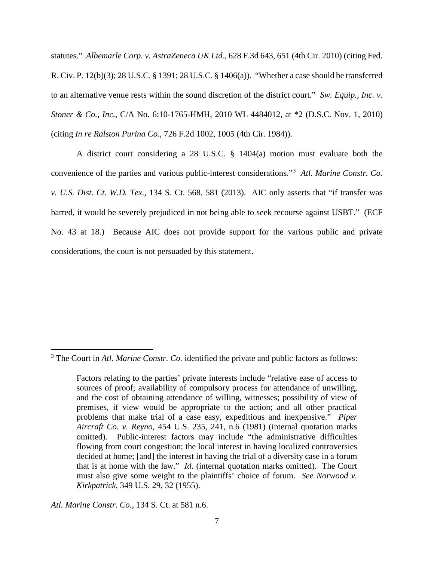statutes." *Albemarle Corp. v. AstraZeneca UK Ltd.,* 628 F.3d 643, 651 (4th Cir. 2010) (citing Fed. R. Civ. P. 12(b)(3); 28 U.S.C. § 1391; 28 U.S.C. § 1406(a)). "Whether a case should be transferred to an alternative venue rests within the sound discretion of the district court." *Sw. Equip., Inc. v. Stoner & Co., Inc.*, C/A No. 6:10-1765-HMH, 2010 WL 4484012, at \*2 (D.S.C. Nov. 1, 2010) (citing *In re Ralston Purina Co.*, 726 F.2d 1002, 1005 (4th Cir. 1984)).

A district court considering a 28 U.S.C. § 1404(a) motion must evaluate both the convenience of the parties and various public-interest considerations."[3](#page-6-0) *Atl. Marine Constr. Co. v. U.S. Dist. Ct. W.D. Tex.*, 134 S. Ct. 568, 581 (2013). AIC only asserts that "if transfer was barred, it would be severely prejudiced in not being able to seek recourse against USBT." (ECF No. 43 at 18.) Because AIC does not provide support for the various public and private considerations, the court is not persuaded by this statement.

 $\overline{a}$ 

<span id="page-6-0"></span><sup>&</sup>lt;sup>3</sup> The Court in *Atl. Marine Constr. Co.* identified the private and public factors as follows:

Factors relating to the parties' private interests include "relative ease of access to sources of proof; availability of compulsory process for attendance of unwilling, and the cost of obtaining attendance of willing, witnesses; possibility of view of premises, if view would be appropriate to the action; and all other practical problems that make trial of a case easy, expeditious and inexpensive." *Piper Aircraft Co. v. Reyno*, 454 U.S. 235, 241, n.6 (1981) (internal quotation marks omitted). Public-interest factors may include "the administrative difficulties flowing from court congestion; the local interest in having localized controversies decided at home; [and] the interest in having the trial of a diversity case in a forum that is at home with the law." *Id*. (internal quotation marks omitted). The Court must also give some weight to the plaintiffs' choice of forum. *See Norwood v. Kirkpatrick*, 349 U.S. 29, 32 (1955).

*Atl. Marine Constr. Co.*, 134 S. Ct. at 581 n.6.